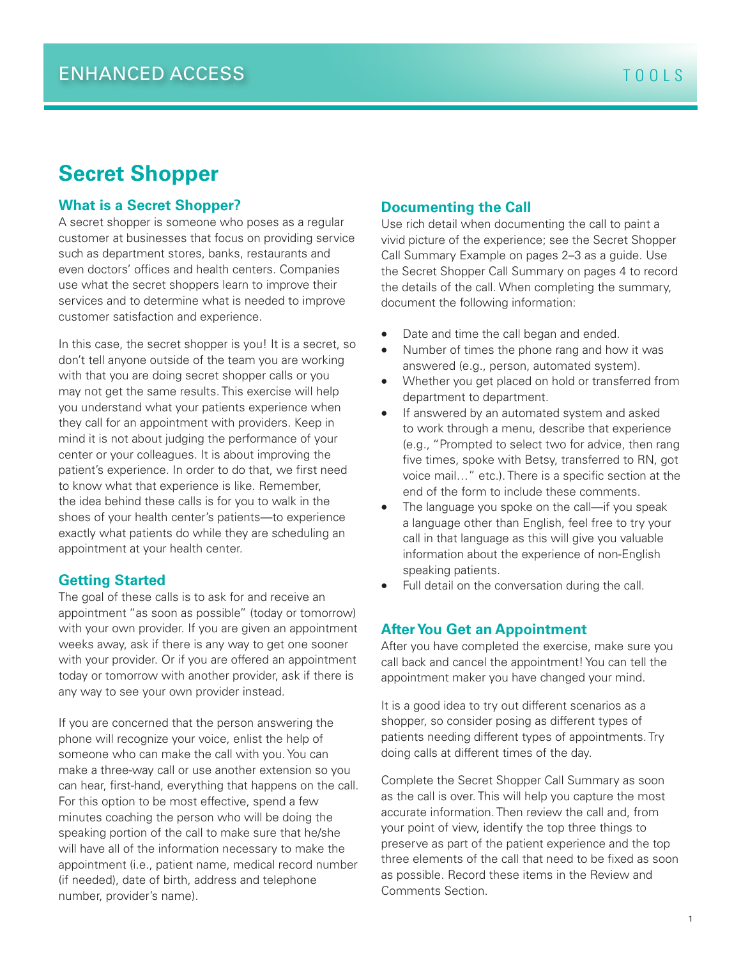# **Secret Shopper**

#### **What is a Secret Shopper?**

A secret shopper is someone who poses as a regular customer at businesses that focus on providing service such as department stores, banks, restaurants and even doctors' offices and health centers. Companies use what the secret shoppers learn to improve their services and to determine what is needed to improve customer satisfaction and experience.

In this case, the secret shopper is you! It is a secret, so don't tell anyone outside of the team you are working with that you are doing secret shopper calls or you may not get the same results. This exercise will help you understand what your patients experience when they call for an appointment with providers. Keep in mind it is not about judging the performance of your center or your colleagues. It is about improving the patient's experience. In order to do that, we first need to know what that experience is like. Remember, the idea behind these calls is for you to walk in the shoes of your health center's patients—to experience exactly what patients do while they are scheduling an appointment at your health center.

#### **Getting Started**

The goal of these calls is to ask for and receive an appointment "as soon as possible" (today or tomorrow) with your own provider. If you are given an appointment weeks away, ask if there is any way to get one sooner with your provider. Or if you are offered an appointment today or tomorrow with another provider, ask if there is any way to see your own provider instead.

If you are concerned that the person answering the phone will recognize your voice, enlist the help of someone who can make the call with you. You can make a three-way call or use another extension so you can hear, first-hand, everything that happens on the call. For this option to be most effective, spend a few minutes coaching the person who will be doing the speaking portion of the call to make sure that he/she will have all of the information necessary to make the appointment (i.e., patient name, medical record number (if needed), date of birth, address and telephone number, provider's name).

#### **Documenting the Call**

Use rich detail when documenting the call to paint a vivid picture of the experience; see the Secret Shopper Call Summary Example on pages 2–3 as a guide. Use the Secret Shopper Call Summary on pages 4 to record the details of the call. When completing the summary, document the following information:

- Date and time the call began and ended.
- Number of times the phone rang and how it was answered (e.g., person, automated system).
- Whether you get placed on hold or transferred from department to department.
- If answered by an automated system and asked to work through a menu, describe that experience (e.g., "Prompted to select two for advice, then rang five times, spoke with Betsy, transferred to RN, got voice mail…" etc.). There is a specific section at the end of the form to include these comments.
- The language you spoke on the call—if you speak a language other than English, feel free to try your call in that language as this will give you valuable information about the experience of non-English speaking patients.
- Full detail on the conversation during the call.

#### **After You Get an Appointment**

After you have completed the exercise, make sure you call back and cancel the appointment! You can tell the appointment maker you have changed your mind.

It is a good idea to try out different scenarios as a shopper, so consider posing as different types of patients needing different types of appointments. Try doing calls at different times of the day.

Complete the Secret Shopper Call Summary as soon as the call is over. This will help you capture the most accurate information. Then review the call and, from your point of view, identify the top three things to preserve as part of the patient experience and the top three elements of the call that need to be fixed as soon as possible. Record these items in the Review and Comments Section.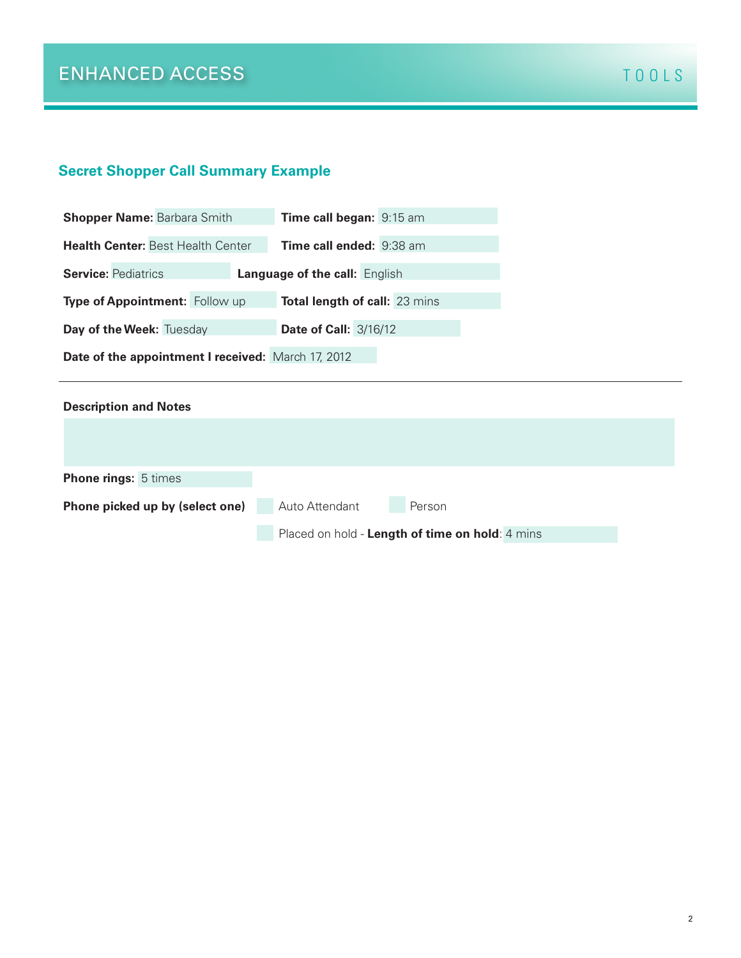## **Secret Shopper Call Summary Example**

| <b>Shopper Name: Barbara Smith</b>                                 | Time call began: 9:15 am             |  |  |
|--------------------------------------------------------------------|--------------------------------------|--|--|
| <b>Health Center: Best Health Center</b>                           | Time call ended: 9:38 am             |  |  |
| <b>Service: Pediatrics</b><br><b>Language of the call: English</b> |                                      |  |  |
| Type of Appointment: Follow up                                     | <b>Total length of call: 23 mins</b> |  |  |
| Day of the Week: Tuesday                                           | <b>Date of Call: 3/16/12</b>         |  |  |
| Date of the appointment I received: March 17, 2012                 |                                      |  |  |

| <b>Description and Notes</b>    |                                                 |
|---------------------------------|-------------------------------------------------|
|                                 |                                                 |
|                                 |                                                 |
| <b>Phone rings: 5 times</b>     |                                                 |
| Phone picked up by (select one) | Auto Attendant<br>Person                        |
|                                 | Placed on hold - Length of time on hold: 4 mins |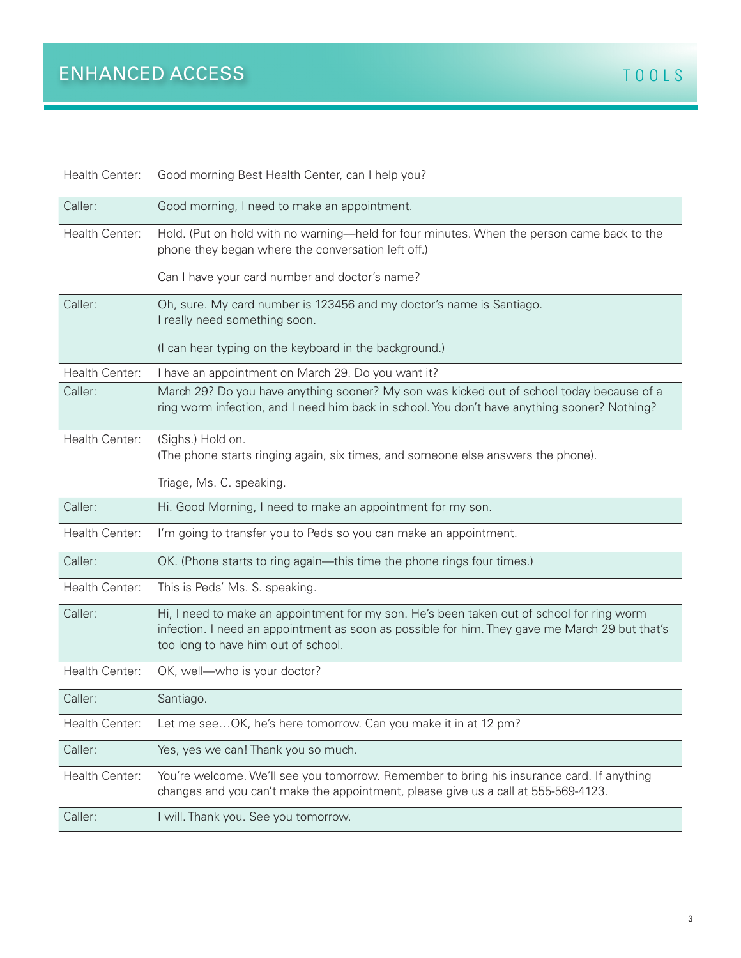| Health Center: | Good morning Best Health Center, can I help you?                                                                                                                                                                                   |
|----------------|------------------------------------------------------------------------------------------------------------------------------------------------------------------------------------------------------------------------------------|
| Caller:        | Good morning, I need to make an appointment.                                                                                                                                                                                       |
| Health Center: | Hold. (Put on hold with no warning—held for four minutes. When the person came back to the<br>phone they began where the conversation left off.)                                                                                   |
|                | Can I have your card number and doctor's name?                                                                                                                                                                                     |
| Caller:        | Oh, sure. My card number is 123456 and my doctor's name is Santiago.<br>I really need something soon.                                                                                                                              |
|                | (I can hear typing on the keyboard in the background.)                                                                                                                                                                             |
| Health Center: | I have an appointment on March 29. Do you want it?                                                                                                                                                                                 |
| Caller:        | March 29? Do you have anything sooner? My son was kicked out of school today because of a<br>ring worm infection, and I need him back in school. You don't have anything sooner? Nothing?                                          |
| Health Center: | (Sighs.) Hold on.<br>(The phone starts ringing again, six times, and someone else answers the phone).                                                                                                                              |
|                | Triage, Ms. C. speaking.                                                                                                                                                                                                           |
| Caller:        | Hi. Good Morning, I need to make an appointment for my son.                                                                                                                                                                        |
| Health Center: | I'm going to transfer you to Peds so you can make an appointment.                                                                                                                                                                  |
| Caller:        | OK. (Phone starts to ring again—this time the phone rings four times.)                                                                                                                                                             |
| Health Center: | This is Peds' Ms. S. speaking.                                                                                                                                                                                                     |
| Caller:        | Hi, I need to make an appointment for my son. He's been taken out of school for ring worm<br>infection. I need an appointment as soon as possible for him. They gave me March 29 but that's<br>too long to have him out of school. |
| Health Center: | OK, well-who is your doctor?                                                                                                                                                                                                       |
| Caller:        | Santiago.                                                                                                                                                                                                                          |
| Health Center: | Let me see OK, he's here tomorrow. Can you make it in at 12 pm?                                                                                                                                                                    |
| Caller:        | Yes, yes we can! Thank you so much.                                                                                                                                                                                                |
| Health Center: | You're welcome. We'll see you tomorrow. Remember to bring his insurance card. If anything<br>changes and you can't make the appointment, please give us a call at 555-569-4123.                                                    |
| Caller:        | I will. Thank you. See you tomorrow.                                                                                                                                                                                               |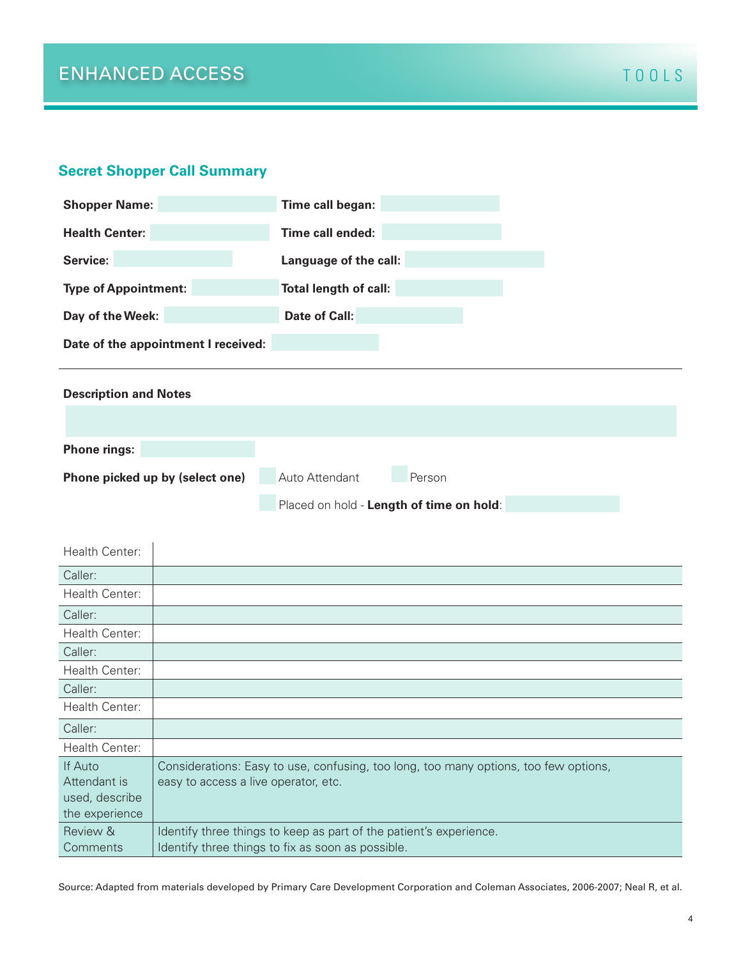#### **Secret Shopper Call Summary**



Source: Adapted from materials developed by Primary Care Development Corporation and Coleman Associates, 2006-2007; Neal R, et al.